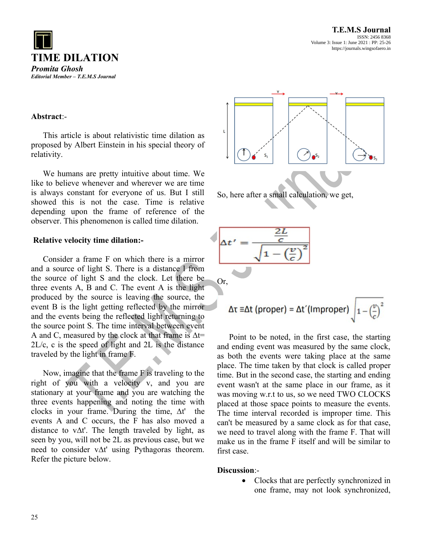

## **Abstract**:-

This article is about relativistic time dilation as proposed by Albert Einstein in his special theory of relativity.

We humans are pretty intuitive about time. We like to believe whenever and wherever we are time is always constant for everyone of us. But I still showed this is not the case. Time is relative depending upon the frame of reference of the observer. This phenomenon is called time dilation.

## **Relative velocity time dilation:-**

Consider a frame F on which there is a mirror and a source of light S. There is a distance l from the source of light S and the clock. Let there be three events A, B and C. The event A is the light produced by the source is leaving the source, the event B is the light getting reflected by the mirror and the events being the reflected light returning to the source point S. The time interval between event A and C, measured by the clock at that frame is ∆t= 2L/c, c is the speed of light and 2L is the distance traveled by the light in frame F.

Now, imagine that the frame F is traveling to the right of you with a velocity v, and you are stationary at your frame and you are watching the three events happening and noting the time with clocks in your frame. During the time, ∆t' the events A and C occurs, the F has also moved a distance to v∆t'. The length traveled by light, as seen by you, will not be 2L as previous case, but we need to consider v∆t' using Pythagoras theorem. Refer the picture below.



So, here after a small calculation, we get,

$$
\Delta t' = \frac{\frac{2L}{c}}{\sqrt{1 - \left(\frac{v}{c}\right)^2}}
$$

Or,

$$
\Delta \tau \equiv \Delta t \text{ (proper)} = \Delta t' \text{ (Improper)} \int 1 - \left(\frac{v}{c}\right)^2
$$

Point to be noted, in the first case, the starting and ending event was measured by the same clock, as both the events were taking place at the same place. The time taken by that clock is called proper time. But in the second case, the starting and ending event wasn't at the same place in our frame, as it was moving w.r.t to us, so we need TWO CLOCKS placed at those space points to measure the events. The time interval recorded is improper time. This can't be measured by a same clock as for that case, we need to travel along with the frame F. That will make us in the frame F itself and will be similar to first case.

## **Discussion**:-

 Clocks that are perfectly synchronized in one frame, may not look synchronized,